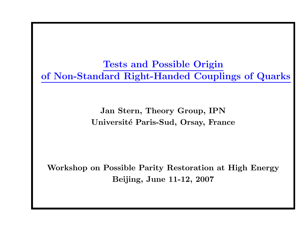Tests and Possible Origin of Non-Standard Right-Handed Couplings of Quarks

> Jan Stern, Theory Group, IPN Université Paris-Sud, Orsay, France

Workshop on Possible Parity Restoration at High Energy Beijing, June 11-12, 2007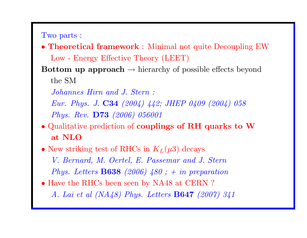Two parts :

- Theoretical framework : Minimal not quite Decoupling EW Low - Energy Effective Theory (LEET)
- Bottom up approach  $\rightarrow$  hierarchy of possible effects beyond the SM
	- Johannes Hirn and J. Stern :
	- Eur. Phys. J. C34 (2004) 442; JHEP 0409 (2004) <sup>058</sup> Phys. Rev. D73 (2006) <sup>056001</sup>
- Qualitative prediction of couplings of RH quarks to W at NLO
- New striking test of RHCs in  $K_L(\mu 3)$  decays V. Bernard, M. Oertel, E. Passemar and J. Stern Phys. Letters **B638** (2006)  $480$ ; + in preparation
- Have the RHCs been seen by NA48 at CERN? A. Lai et al (NA48) Phys. Letters B647 (2007) 341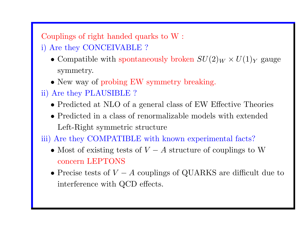Couplings of right handed quarks to W :

- i) Are they CONCEIVABLE ?
	- Compatible with spontaneously broken  $SU(2)_W \times U(1)_Y$  gauge symmetry.
	- New way of probing EW symmetry breaking.
- ii) Are they PLAUSIBLE ?
	- Predicted at NLO of <sup>a</sup> general class of EW Effective Theories
	- Predicted in <sup>a</sup> class of renormalizable models with extended Left-Right symmetric structure

iii) Are they COMPATIBLE with known experimental facts?

- Most of existing tests of  $V A$  structure of couplings to W concern LEPTONS
- Precise tests of  $V A$  couplings of QUARKS are difficult due to interference with QCD effects.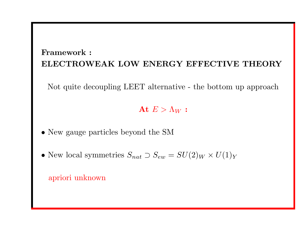## Framework : ELECTROWEAK LOW ENERGY EFFECTIVE THEORY

Not quite decoupling LEET alternative - the bottom up approach

### At  $E > \Lambda_W$ :

- New gauge particles beyond the SM
- New local symmetries  $S_{nat} \supset S_{ew} = SU(2)_W \times U(1)_Y$

apriori unknown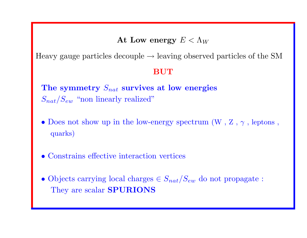### At Low energy  $E < \Lambda_W$

Heavy gauge particles decouple  $\rightarrow$  leaving observed particles of the SM

#### BUT

The symmetry  $S_{nat}$  survives at low energies  $S_{nat}/S_{ew}$  "non linearly realized"

- Does not show up in the low-energy spectrum  $(W, Z, \gamma)$ , leptons, quarks)
- Constrains effective interaction vertices
- Objects carrying local charges  $\in S_{nat}/S_{ew}$  do not propagate : They are scalar SPURIONS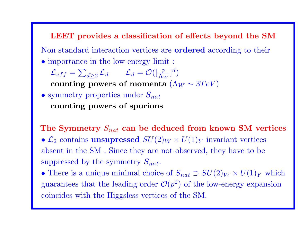LEET provides <sup>a</sup> classification of effects beyond the SM Non standard interaction vertices are ordered according to their • importance in the low-energy limit :  $\mathcal{L}_{eff} = \sum_{d>2} \mathcal{L}_d \qquad \mathcal{L}_d = \mathcal{O}([\frac{p}{\Lambda_W}]^d)$ counting powers of momenta  $(\Lambda_W \sim 3 TeV)$ • symmetry properties under  $S_{nat}$ counting powers of spurions

The Symmetry  $S_{nat}$  can be deduced from known SM vertices •  $\mathcal{L}_2$  contains unsupressed  $SU(2)_W \times U(1)_Y$  invariant vertices absent in the SM . Since they are not observed, they have to be suppressed by the symmetry  $S_{nat}$ .

• There is a unique minimal choice of  $S_{nat} \supset SU(2)_W \times U(1)_Y$  which guarantees that the leading order  $\mathcal{O}(p^2)$  of the low-energy expansion coincides with the Higgsless vertices of the SM.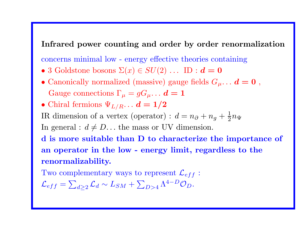### Infrared power counting and order by order renormalization

concerns minimal low - energy effective theories containing

- 3 Goldstone bosons  $\Sigma(x) \in SU(2) \ldots$  ID :  $d = 0$
- Canonically normalized (massive) gauge fields  $G_{\mu} \ldots d = 0$ , Gauge connections  $\Gamma_{\mu} = gG_{\mu} \ldots d = 1$
- Chiral fermions  $\Psi_{L/R} \ldots d = 1/2$

IR dimension of a vertex (operator) :  $d = n_{\partial} + n_g + \frac{1}{2}n_{\Psi}$ 

In general :  $d \neq D$ ... the mass or UV dimension.

d is more suitable than D to characterize the importance of an operator in the low - energy limit, regardless to the renormalizability.

Two complementary ways to represent  $\mathcal{L}_{eff}$ :

$$
\mathcal{L}_{eff} = \sum_{d \geq 2} \mathcal{L}_d \sim L_{SM} + \sum_{D > 4} \Lambda^{4-D} \mathcal{O}_D.
$$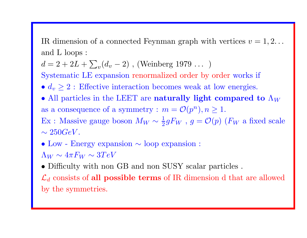IR dimension of a connected Feynman graph with vertices  $v = 1, 2, \ldots$ and L loops :

 $d = 2 + 2L + \sum_{v} (d_v - 2)$ , (Weinberg 1979 ...)

Systematic LE expansion renormalized order by order works if

•  $d_v \geq 2$ : Effective interaction becomes weak at low energies.

• All particles in the LEET are naturally light compared to  $\Lambda_W$ as a consequence of a symmetry :  $m = \mathcal{O}(p^n), n \ge 1$ .

Ex : Massive gauge boson  $M_W \sim \frac{1}{2} g F_W$ ,  $g = \mathcal{O}(p)$  ( $F_W$  a fixed scale  $\sim 250 GeV$  .

• Low - Energy expansion <sup>∼</sup> loop expansion :

 $\Lambda_W \sim 4 \pi F_W \sim 3 TeV$ 

• Difficulty with non GB and non SUSY scalar particles .

 $\mathcal{L}_d$  consists of all possible terms of IR dimension d that are allowed by the symmetries.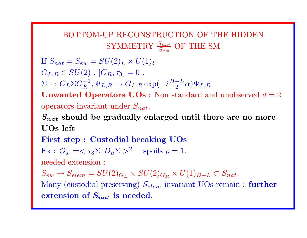## BOTTOM-UP RECONSTRUCTION OF THE HIDDEN SYMMETRY  $\frac{S_{nat}}{S_{cav}}$  OF THE SM

If  $S_{nat} = S_{ew} = SU(2)_L \times U(1)_Y$  $G_{L,R} \in SU(2)$ ,  $[G_R, \tau_3] = 0$ ,  $\Sigma \to G_L \Sigma G_R^{-1}, \Psi_{L,R} \to G_{L,R} \exp(-i\frac{B-L}{2}\alpha)\Psi_{L,R}$ **Unwanted Operators UOs**: Non standard and unobserved  $d = 2$ operators invariant under  $S_{nat}$ .

 $S_{nat}$  should be gradually enlarged until there are no more UOs left

First step : Custodial breaking UOs  $\text{Ex}: \mathcal{O}_T = \langle \tau_3 \Sigma^{\dagger} D_u \Sigma \rangle^2$  spoils  $\rho = 1$ .

needed extension :

 $S_{ew} \rightarrow S_{elem} = SU(2)_{G_L} \times SU(2)_{G_R} \times U(1)_{B-L} \subset S_{nat}.$ Many (custodial preserving)  $S_{elem}$  invariant UOs remain : further extension of  $S_{nat}$  is needed.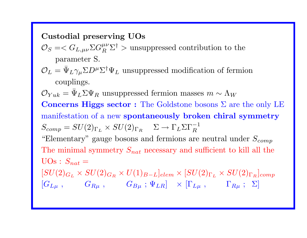Custodial preserving UOs

- $\mathcal{O}_S = \langle G_{L,\mu\nu} \Sigma G_R^{\mu\nu} \Sigma^{\dagger} \rangle$  unsuppressed contribution to the parameter S.
- $\mathcal{O}_L=\bar{\Psi}$  $L\gamma_\mu\Sigma D^\mu\Sigma^\dagger\Psi_L$  unsuppressed modification of fermion couplings.

 ${\cal O}_{Yuk} = \bar{\Psi}$  $_L\Sigma\Psi_R$  unsuppressed fermion masses  $m\sim\Lambda_W$ Concerns Higgs sector : The Goldstone bosons Σ are the only LE manifestation of <sup>a</sup> new spontaneously broken chiral symmetry  $S_{comp} = SU(2)_{\Gamma_L} \times SU(2)_{\Gamma_R} \quad \Sigma \rightarrow \Gamma_L \Sigma \Gamma_R^{-1}$ "Elementary" gauge bosons and fermions are neutral under  $S_{comp}$ The minimal symmetry  $S_{nat}$  necessary and sufficient to kill all the  $UOs : S_{nat} =$  $[SU(2)_{G_L}\times SU(2)_{G_R}\times U(1)_{B-L}]_{elem}\times [SU(2)_{\Gamma_L}\times SU(2)_{\Gamma_R}]_{comp}$  $\left[G_{L\mu} \; , \qquad \quad G_{R\mu} \; , \qquad \quad G_{B\mu} \; ; \; \Psi_{LR} \right] \;\; \times \; \left[\Gamma_{L\mu} \; , \qquad \quad \Gamma_{R\mu} \; ; \; \; \Sigma \right]$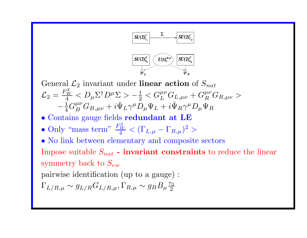

General  $\mathcal{L}_2$  invariant under linear action of  $S_{nat}$  $\mathcal{L}_2 = \frac{F_W^2}{4} < D_\mu \Sigma^\dagger D^\mu \Sigma > -\frac{1}{2} < G_L^{\mu\nu} G_{L,\mu\nu} + G_R^{\mu\nu} G_{R,\mu\nu} >$ −  ${1\over 4} G^{\mu\nu}_B G_{B,\mu\nu} + i \bar\Psi$  ${}_L\gamma^\mu D_\mu\Psi_L +i\bar\Psi$  ${}_R\gamma^\mu D_\mu \Psi_R$ 

- Contains gauge fields redundant at LE
- •• Only "mass term"  $\frac{F_W^2}{4} < (\Gamma_{L,\mu} - \Gamma_{R,\mu})^2 >$

• No link between elementary and composite sectors Impose suitable  $S_{nat}$  - invariant constraints to reduce the linear

symmetry back to  $S_{ew}$ 

pairwise identification (up to <sup>a</sup> gauge) :

$$
\Gamma_{L/R,\mu} \sim g_{L/R} G_{L/R,\mu}, \Gamma_{R,\mu} \sim g_B B_\mu \frac{\tau_3}{2}
$$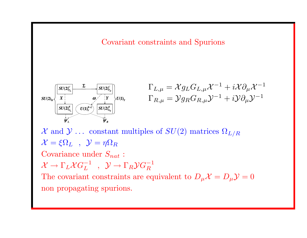



$$
\Gamma_{L,\mu} = \mathcal{X} g_L G_{L,\mu} \mathcal{X}^{-1} + i \mathcal{X} \partial_\mu \mathcal{X}^{-1}
$$
  

$$
\Gamma_{R,\mu} = \mathcal{Y} g_R G_{R,\mu} \mathcal{Y}^{-1} + i \mathcal{Y} \partial_\mu \mathcal{Y}^{-1}
$$

X and  $\mathcal{Y}$  ... constant multiples of  $SU(2)$  matrices  $\Omega_{L/R}$  $\mathcal{X} = \xi \Omega_L$ ,  $\mathcal{Y} = \eta \Omega_R$ Covariance under  $S_{nat}$ :  $\mathcal{X} \to \Gamma_L \mathcal{X} G_L^{-1}$  ,  $\mathcal{Y} \to \Gamma_R \mathcal{Y} G_R^{-1}$ The covariant constraints are equivalent to  $D_{\mu} \mathcal{X} = D_{\mu} \mathcal{Y} = 0$ non propagating spurions.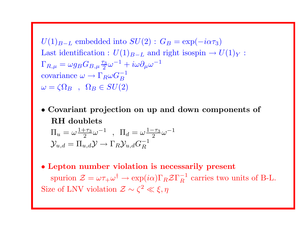$U(1)_{B-L}$  embedded into  $SU(2)$ :  $G_B = \exp(-i\alpha \tau_3)$ Last identification :  $U(1)_{B-L}$  and right isospin  $\rightarrow U(1)_Y$ :  $\Gamma_{R,\mu} = \omega g_B G_{B,\mu} \frac{\tau_3}{2} \omega^{-1} + i \omega \partial_\mu \omega^{-1}$ covariance  $\omega \to \Gamma_R \omega G_R^{-1}$  $\omega = \zeta \Omega_B$ ,  $\Omega_B \in SU(2)$ 

- Covariant projection on up and down components of RH doublets  $\Pi_u = \omega \frac{1+\tau_3}{2} \omega^{-1}$ ,  $\Pi_d = \omega \frac{1-\tau_3}{2} \omega^{-1}$  $\mathcal{Y}_{u,d} = \Pi_{u,d} \mathcal{Y} \to \Gamma_R \mathcal{Y}_{u,d} G_R^{-1}$
- Lepton number violation is necessarily present spurion  $\mathcal{Z} = \omega \tau_+ \omega^{\dagger} \to \exp(i\alpha) \Gamma_R \mathcal{Z} \Gamma_R^{-1}$  carries two units of B-L. Size of LNV violation  $\mathcal{Z} \sim \zeta^2 \ll \xi, \eta$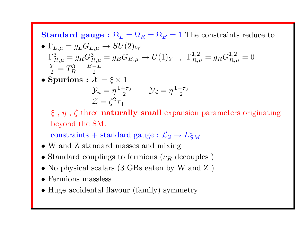**Standard gauge :**  $\Omega_L = \Omega_R = \Omega_B = 1$  The constraints reduce to

• 
$$
\Gamma_{L,\mu} = g_L G_{L,\mu} \rightarrow SU(2)_W
$$
  
\n $\Gamma_{R,\mu}^3 = g_R G_{R,\mu}^3 = g_B G_{B,\mu} \rightarrow U(1)_Y$ ,  $\Gamma_{R,\mu}^{1,2} = g_R G_{R,\mu}^{1,2} = 0$   
\n $\frac{Y}{2} = T_R^3 + \frac{B-L}{2}$ 

 $\bullet$  Spurions :  $\mathcal{X}=\xi\times 1$  $\mathcal{Y}_u = \eta \frac{1+\tau_3}{2}$   $\mathcal{Y}_d = \eta \frac{1-\tau_3}{2}$  $\mathcal{Z} = \zeta^2 \tau_+$ 

 $\xi$ ,  $\eta$ ,  $\zeta$  three **naturally small** expansion parameters originating beyond the SM.

constraints + standard gauge :  $\mathcal{L}_2 \rightarrow L^*_{SM}$ 

- W and Z standard masses and mixing
- Standard couplings to fermions  $(\nu_R \text{ decouples})$
- No <sup>p</sup>hysical scalars (3 GBs eaten by W and <sup>Z</sup> )
- Fermions massless
- Huge accidental flavour (family) symmetry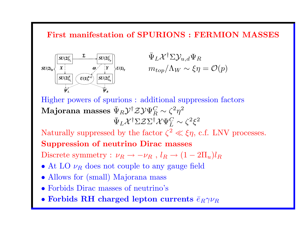### First manifestation of SPURIONS : FERMION MASSES



 $\bar{\Psi}$  $_L{\mathcal{X}}^{\dagger} \Sigma \mathcal{Y}_{u,d} \Psi_R$  $m_{top}/\Lambda_W \sim \xi \eta = \mathcal{O}(p)$ 

Higher powers of spurions : additional suppression factors Majorana masses  $\bar{\Psi}$  $_R{\mathcal Y}^{\dagger}{\mathcal Z}{\mathcal Y}\Psi^C_R\sim \zeta^2\eta^2$  $\bar{\Psi}$  $_L{\mathcal X}^\dagger \Sigma {\mathcal Z} \Sigma^\dagger {\mathcal X} \Psi^C_L \sim \zeta^2 \xi^2$ 

Naturally suppressed by the factor  $\zeta^2 \ll \xi \eta$ , c.f. LNV processes.

### Suppression of neutrino Dirac masses

Discrete symmetry :  $\nu_R \rightarrow -\nu_R$ ,  $l_R \rightarrow (1-2\Pi_u)l_R$ 

- At LO  $\nu_R$  does not couple to any gauge field
- Allows for (small) Majorana mass
- Forbids Dirac masses of neutrino's
- Forbids RH charged lepton currents  $\bar{e}_R\gamma\nu_R$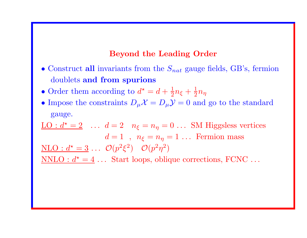#### Beyond the Leading Order

- Construct all invariants from the  $S_{nat}$  gauge fields, GB's, fermion doublets and from spurions
- •• Order them according to  $d^* = d + \frac{1}{2}n_{\xi} + \frac{1}{2}n_{\eta}$
- Impose the constraints  $D_{\mu} \mathcal{X} = D_{\mu} \mathcal{Y} = 0$  and go to the standard gauge.

 $\underline{\text{LO}} : d^* = 2 \quad \dots \quad d = 2 \quad n_{\xi} = n_{\eta} = 0 \quad \dots \quad \text{SM Higgsless vertices}$  $d = 1$ ,  $n_{\xi} = n_{\eta} = 1$ ... Fermion mass  $\underline{\text{NLO}} : d^* = 3 \dots \mathcal{O}(p^2 \xi^2) \quad \mathcal{O}(p^2 \eta^2)$  $NNLO : d^* = 4 ...$  Start loops, oblique corrections, FCNC ...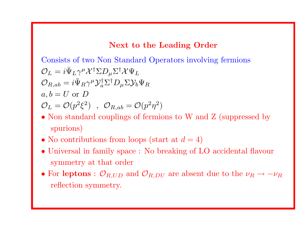### Next to the Leading Order

Consists of two Non Standard Operators involving fermions  ${\cal O}_L=i\bar\Psi$  ${}_L\gamma^{\mu}\mathcal{X}^{\dagger}\Sigma D_{\mu}\Sigma^{\dagger}\mathcal{X}\Psi_L$  $\mathcal{O}_{R,ab}=i\bar{\Psi}$  $_R\gamma^\mu \mathcal{Y}_a^\dagger \Sigma^\dagger D_\mu \Sigma \mathcal{Y}_b \Psi_R$  $a, b = U \text{ or } D$  $\mathcal{O}_L = \mathcal{O}(p^2 \xi^2)$ ,  $\mathcal{O}_{R,ab} = \mathcal{O}(p^2 \eta^2)$ 

- Non standard couplings of fermions to W and Z (suppressed by spurions)
- No contributions from loops (start at  $d = 4$ )
- Universal in family space : No breaking of LO accidental flavour symmetry at that order
- For leptons :  $\mathcal{O}_{R,UD}$  and  $\mathcal{O}_{R,DU}$  are absent due to the  $\nu_R \rightarrow -\nu_R$ reflection symmetry.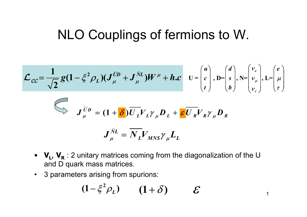# NLO Couplings of fermions to W.

$$
\mathcal{L}_{CC} = \frac{1}{\sqrt{2}} g (1 - \xi^2 \rho_L) (J_{\mu}^{\overline{U}D} + J_{\mu}^{\overline{N}L}) W^{\mu} + h.c \quad \mathbf{U} = \begin{pmatrix} u \\ c \\ t \end{pmatrix}, \mathbf{D} = \begin{pmatrix} d \\ s \\ b \end{pmatrix}, \mathbf{N} = \begin{pmatrix} v_e \\ v_{\mu} \\ v_{\tau} \end{pmatrix}, \mathbf{L} = \begin{pmatrix} e \\ \mu \\ \tau \end{pmatrix}
$$

$$
\sum_{\mu} J_{\mu}^{\overline{U}D} = (1 + \delta) \overline{U_{L}} V_{L} \gamma_{\mu} D_{L} + \epsilon \overline{U_{R}} V_{R} \gamma_{\mu} D_{R}
$$

$$
\bm{J}_{\mu}^{\bar{N}L}=\overline{\bm{N}}_L\bm{V}_{MNS}{\bm{\gamma}}_{\mu}\bm{L}_L
$$

- $\mathbf{V_L}$ ,  $\mathbf{V_R}$  : 2 unitary matrices coming from the diagonalization of the U and D quark mass matrices.
- $\bullet$ 3 parameters arising from spurions:

$$
(1-\xi^2\rho_L) \qquad (1+\delta) \qquad \mathcal{E}
$$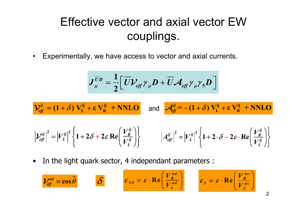## Effective vector and axial vector EW couplings.

•Experimentally, we have access to vector and axial currents.

$$
J_{\mu}^{\overline{U}D} = \frac{1}{2} \left[ \overline{U} \boldsymbol{\mathcal{V}}_{eff} \boldsymbol{\gamma}_{\mu} D + \overline{U} \boldsymbol{\mathcal{A}}_{eff} \boldsymbol{\gamma}_{\mu} \boldsymbol{\gamma}_{5} D \right]
$$

$$
\mathcal{V}_{\text{eff}}^{ij} = (1+\delta) V_{\text{L}}^{ij} + \epsilon V_{\text{R}}^{ij} + \text{NNLO} \quad \text{and} \quad \mathcal{A}_{\text{eff}}^{ij} = -(1+\delta) V_{\text{L}}^{ij} + \epsilon V_{\text{R}}^{ij} + \text{NNLO}
$$
\n
$$
\left| \mathcal{V}_{\text{eff}}^{ij} \right|^2 = \left| V_{\text{L}}^{ij} \right|^2 \left\{ 1 + 2\delta + 2\epsilon \operatorname{Re} \left( \frac{V_{\text{R}}^{ij}}{V_{\text{L}}^{ij}} \right) \right\} \qquad \left| A_{\text{eff}}^{ij} \right|^2 = \left| V_{\text{L}}^{ij} \right|^2 \left\{ 1 + 2 \cdot \delta - 2\epsilon \cdot \operatorname{Re} \left( \frac{V_{\text{R}}^{ij}}{V_{\text{L}}^{ij}} \right) \right\}
$$

•In the light quark sector, 4 independant parameters :

$$
\mathcal{V}_{\text{eff}}^{\text{ud}} = \cos \hat{\theta} \qquad \qquad \delta \qquad \qquad \varepsilon_{\text{NS}} = \varepsilon \cdot \text{Re} \left( \frac{V_{R}^{\text{ud}}}{V_{L}^{\text{ud}}} \right) \qquad \varepsilon_{\text{S}} = \varepsilon \cdot \text{Re} \left( \frac{V_{R}^{\text{us}}}{V_{L}^{\text{us}}} \right)
$$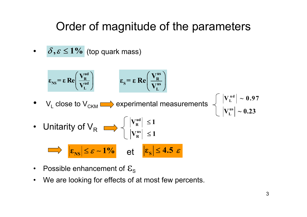## Order of magnitude of the parameters

••  $\delta, \varepsilon \leq 1\%$  (top quark mass)

$$
\varepsilon_{\text{NS}} = \varepsilon \text{ Re} \left( \frac{V_{\text{R}}^{\text{ud}}}{V_{\text{L}}^{\text{ud}}} \right) \qquad \varepsilon_{\text{S}} = \varepsilon \text{ Re} \left( \frac{V_{\text{R}}^{\text{us}}}{V_{\text{L}}^{\text{us}}} \right)
$$
\n
$$
\cdot \text{ V}_{\text{L}} \text{ close to } V_{\text{CKM}} \implies \text{ experimental measurements} \quad \left\{ \begin{array}{l} |V_{\text{L}}^{\text{ud}}| \sim 0.97 \\ |V_{\text{R}}^{\text{us}}| \le 1 \end{array} \right.
$$
\n
$$
\cdot \text{ Unitarity of } V_{\text{R}} \implies \left\{ \begin{array}{l} |V_{\text{R}}^{\text{ud}}| \le 1 \\ |V_{\text{R}}^{\text{us}}| \le 1 \end{array} \right.
$$
\n
$$
\Rightarrow \left| \frac{\varepsilon_{\text{NS}}}{\varepsilon_{\text{NS}}} \right| \le \varepsilon \sim 1\% \qquad \text{et} \quad \left| \frac{\varepsilon_{\text{S}}}{\varepsilon_{\text{S}}} \right| \le 4.5 \varepsilon
$$

- $\bullet$ Possible enhancement of  $\mathcal{E}_\text{S}$
- •We are looking for effects of at most few percents.

0.23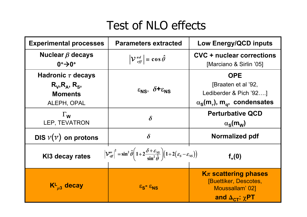# Test of NLO effects

| <b>Experimental processes</b>                                                                                                                                                                                                                                     | <b>Parameters extracted</b>                                    | <b>Low Energy/QCD inputs</b>                                                                                                    |
|-------------------------------------------------------------------------------------------------------------------------------------------------------------------------------------------------------------------------------------------------------------------|----------------------------------------------------------------|---------------------------------------------------------------------------------------------------------------------------------|
| Nuclear $\beta$ decays<br>$0+30+$                                                                                                                                                                                                                                 | $ \mathcal{V}\,^{ud}_{eff}  \equiv \cos \hat{\theta}$          | <b>CVC + nuclear corrections</b><br>[Marciano & Sirlin '05]                                                                     |
| Hadronic $\tau$ decays<br>$R_V, R_A, R_S,$<br><b>Moments</b><br>ALEPH, OPAL                                                                                                                                                                                       | $\varepsilon_{\text{NS}}$ , $\delta + \varepsilon_{\text{NS}}$ | <b>OPE</b><br>[Braaten et al '92,<br>Lediberder & Pich '92]<br>$\alpha_{\rm s}$ (m <sub>7</sub> ), m <sub>q</sub> , condensates |
| $\Gamma_{\mathsf{W}}$<br>LEP, TEVATRON                                                                                                                                                                                                                            | $\delta$                                                       | <b>Perturbative QCD</b><br>$\alpha_{\rm s}$ (m <sub>w</sub> )                                                                   |
| DIS $v(v)$ on protons                                                                                                                                                                                                                                             | $\delta$                                                       | Normalized pdf                                                                                                                  |
| $ \mathcal{V}_{\text{eff}}^{us} ^2 = \sin^2 \hat{\theta} \left( 1 + 2 \frac{\delta + \varepsilon_{\text{NS}}}{\sin^2 \hat{\theta}} \right) \left( 1 + 2 \left( \varepsilon_{\text{S}} - \varepsilon_{\text{NS}} \right) \right)$<br>KI3 decay rates<br>$f_{+}(0)$ |                                                                |                                                                                                                                 |
| $\mathsf{K}^{\mathsf{L}}_{\mu 3}$ decay                                                                                                                                                                                                                           | $\epsilon_{\rm S}$ = $\epsilon_{\rm NS}$                       | $K_{\pi}$ scattering phases<br>[Buettiker, Descotes,<br>Moussallam' 02]<br>and $\Delta_{\text{CT}}$ : $\chi$ PT                 |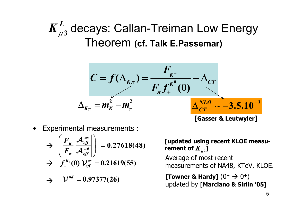## <sub>3</sub> decays: Callan-Treiman Low Energy Theorem **(cf. Talk E.Passemar)**  $\boldsymbol{K}_{\mu}^{L}$

$$
C = f(\Delta_{K\pi}) = \frac{F_{K^+}}{F_{\pi}f_{+}^{K^0}(0)} + \Delta_{CT}
$$

$$
\Delta_{K\pi} = m_K^2 - m_{\pi}^2
$$
 
$$
\Delta_{CT}^{NLO} \sim -3.5.10^{-3}
$$
 [Gasser & Leutwuler]

•Experimental measurements :

$$
\Rightarrow \left(\frac{F_K}{F_\pi}\left|\frac{\mathcal{A}_{\text{eff}}^{\text{us}}}{\mathcal{A}_{\text{eff}}^{\text{ud}}}\right|\right) = 0.27618(48)
$$
  

$$
\Rightarrow f_+^{K_0}(0)\left|\mathcal{V}_{\text{eff}}^{\text{us}}\right| = 0.21619(55)
$$

$$
\rightarrow \quad \left| \mathcal{V}^{ud} \right| = 0.97377(26)
$$

### **[updated using recent KLOE measu**rement of  $K_{\mu2}^{\phantom{\dag}}]$

Average of most recent measurements of NA48, KTeV, KLOE.

**[Towner & Hardy]**  $(0^+ \rightarrow 0^+)$ updated by **[Marciano & Sirlin '05]**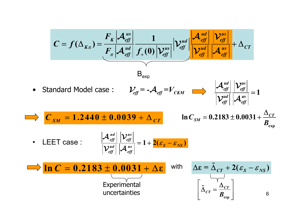$$
C = f(\Delta_{K\pi}) = \frac{F_K |\mathcal{A}_{\text{eff}}^{\text{us}}|}{F_{\pi} |\mathcal{A}_{\text{eff}}^{\text{ud}}|} \frac{1}{f_{+}(0) |\mathcal{V}_{\text{eff}}^{\text{us}}|} |\mathcal{V}_{\text{eff}}^{\text{ud}}| \frac{|\mathcal{A}_{\text{eff}}^{\text{ud}}|}{|\mathcal{V}_{\text{eff}}^{\text{ud}}|} |\mathcal{A}_{\text{eff}}^{\text{us}}|} + \Delta_{CT}
$$
\n
$$
\text{Standard Model case}: \quad \mathcal{V}_{\text{eff}} = -\mathcal{A}_{\text{eff}} = V_{CKM} \qquad |\mathcal{A}_{\text{eff}}^{\text{ud}}| \frac{|\mathcal{V}_{\text{eff}}^{\text{us}}|}{|\mathcal{V}_{\text{eff}}^{\text{ud}}|} = 1
$$
\n
$$
\mathcal{C}_{SM} = 1.2440 \pm 0.0039 + \Delta_{CT} \qquad \ln C_{SM} = 0.2183 \pm 0.0031 + \frac{\Delta_{CT}}{B_{\text{exp}}}
$$
\n
$$
\cdot \text{ LEFT case}: \qquad |\mathcal{A}_{\text{eff}}^{\text{ud}}| |\mathcal{V}_{\text{eff}}^{\text{us}}| = 1 + 2(\varepsilon_{S} - \varepsilon_{NS})
$$
\n
$$
\ln C = 0.2183 \pm 0.0031 + \Delta \varepsilon \qquad \text{with} \qquad \Delta \varepsilon = \tilde{\Delta}_{CT} + 2(\varepsilon_{S} - \varepsilon_{NS})
$$
\n
$$
\text{Experimental} \qquad \text{uncertainties} \qquad \left[ \tilde{\Delta}_{CT} = \frac{\Delta_{CT}}{B_{\text{exp}}} \right] \qquad \text{6}
$$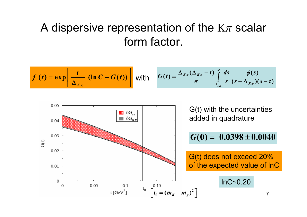## A dispersive representation of the  $K_{\pi}$  scalar form factor.

$$
f(t) = \exp\left[\frac{t}{\Delta_{K\pi}} \left(\ln C - G(t)\right)\right]
$$
 with 
$$
G(t) = \frac{\Delta_{K\pi}(\Delta_{K\pi} - t)}{\pi} \int_{t_{\pi K}}^{\infty} \frac{ds}{(s - \Delta_{K\pi})(s - t)}
$$

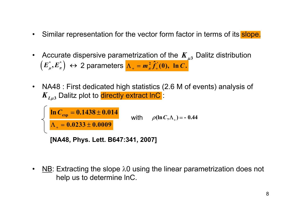- •Similar representation for the vector form factor in terms of its slope.
- •• Accurate dispersive parametrization of the  $K_{\mu}$ , Dalitz distribution  $(E_{\mu}^{*}, E_{\pi}^{*}) \leftrightarrow 2$  parameters  $\Lambda_{+} = m_{\pi}^{2} \hat{f}_{+}^{*}(0)$ ,  $\ln C$ .
- • NA48 : First dedicated high statistics (2.6 M of events) analysis of  $K_{L\mu3}$  Dalitz plot to <mark>directly extract InC</mark> :

$$
\left\{\n\begin{array}{l}\n\ln C_{\text{exp}} = 0.1438 \pm 0.014 \\
\hline\n\Lambda_{+} = 0.0233 \pm 0.0009 \\
\text{[NA48, Phys. Lett. B647:341, 2007]}\n\end{array}\n\right.
$$

• $NB$ : Extracting the slope  $λ$ 0 using the linear parametrization does not help us to determine lnC.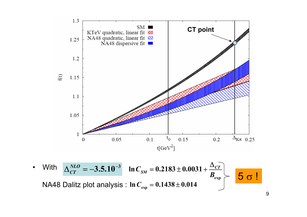

<code>NA48 Dalitz plot analysis:In $\boldsymbol{C}_\mathrm{exp} = \boldsymbol{0.1438} \pm \boldsymbol{0.014}$ </code>

•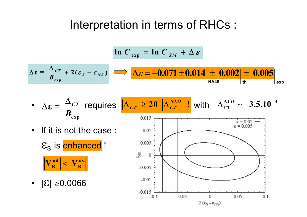## Interpretation in terms of RHCs :

$$
\ln C_{\text{exp}} = \ln C_{\text{SM}} + \Delta \varepsilon
$$

$$
\Delta \varepsilon = \frac{\Delta_{CT}}{B_{\text{exp}}} + 2(\varepsilon_{S} - \varepsilon_{NS}) \implies \Delta \varepsilon = -0.071 \pm 0.014 \pm 0.002 \pm 0.005 \Big|_{\text{th}}
$$

• 
$$
\Delta \varepsilon = \frac{\Delta_{CT}}{B_{\text{exp}}}
$$
 requires  $|\Delta_{CT}| \ge 20 \left| \Delta_{CT}^{NLO} \right|$ ! with  $\Delta_{CT}^{NLO} \sim -3.5.10^{-3}$ 

• If it is not the case :

 $\mathcal{E}_\mathrm{S}$  is **enhanced** ! **ud** $|\mathbf{V}_{\mathbf{R}}^{\mathbf{u}\mathbf{a}}| < |\mathbf{V}_{\mathbf{R}}^{\mathbf{u}\mathbf{s}}|$ 

• |ᢄ| ≥0.0066 |<br>|<br>|

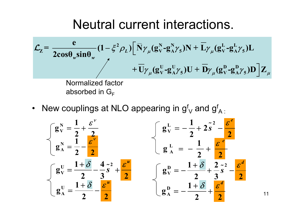# Neutral current interactions.

$$
\mathcal{L}_{Z} = \frac{e}{2\cos\theta_{w}\sin\theta_{w}} (1 - \xi^{2} \rho_{L}) \Big[ \bar{N} \gamma_{\mu} (g_{V}^{N} - g_{A}^{N} \gamma_{5}) N + \bar{L} \gamma_{\mu} (g_{V}^{L} - g_{A}^{L} \gamma_{5}) L + \bar{U} \gamma_{\mu} (g_{V}^{U} - g_{A}^{U} \gamma_{5}) N + \bar{U} \gamma_{\mu} (g_{V}^{U} - g_{A}^{U} \gamma_{5}) D \Big] Z_{\mu}
$$
\nNormalized factor

\nabsorbed in  $G_{F}$ 

•• New couplings at NLO appearing in  $\mathsf{g}^\mathsf{f}_\mathsf{V}$  and  $\mathsf{g}^\mathsf{f}_\mathsf{A}$  :

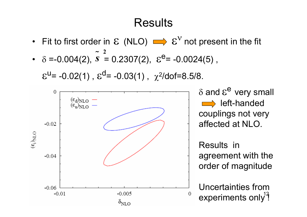## Results

• Fit to first order in  $\mathcal E$  (NLO)  $\Longrightarrow \mathcal E^V$  not present in the fit •  $\delta = -0.004(2)$ ,  $s = 0.2307(2)$ ,  $\varepsilon^2 = -0.0024(5)$ , **2**~

 $\varepsilon^{U}$ = -0.02(1),  $\varepsilon^{d}$ = -0.03(1),  $\chi^{2}/$ dof=8.5/8.



δ and  $\varepsilon^\mathsf{e}$  very small left-handed couplings not very affected at NLO.

Results in agreement with the order of magnitude

experiments only $^{12}$ Uncertainties from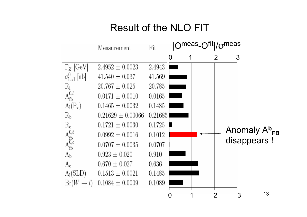## Result of the NLO FIT

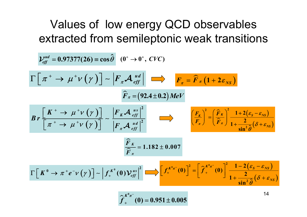## Values of low energy QCD observables extracted from semileptonic weak transitions

$$
\mathcal{V}_{eff}^{ud} = 0.97377(26) \equiv \cos \hat{\theta} \quad (0^+ \rightarrow 0^+, \, CVC)
$$
\n
$$
\Gamma \left[ \pi^+ \rightarrow \mu^+ \nu \left( \gamma \right) \right] \sim \left| F_{\pi} \mathcal{A}_{eff}^{ud} \right| \Longrightarrow F_{\pi} = \hat{F}_{\pi} \left( 1 + 2 \varepsilon_{NS} \right)
$$
\n
$$
\hat{F}_{\pi} = (92.4 \pm 0.2) \, MeV
$$
\n
$$
Br \left[ \frac{K^+ \rightarrow \mu^+ \nu \left( \gamma \right)}{\left[ \pi^+ \rightarrow \mu^+ \nu \left( \gamma \right) \right]} \right] \sim \frac{\left| F_{\pi} \mathcal{A}_{eff}^{us} \right|^2}{\left| F_{\pi} \mathcal{A}_{eff}^{ud} \right|^2} \Longrightarrow \left[ \frac{F_{\pi}}{F_{\pi}} \right]^2 = \left( \frac{\hat{F}_{\pi}}{\hat{F}_{\pi}} \right)^2 \frac{1 + 2(\varepsilon_{S} - \varepsilon_{NS})}{1 + \frac{2}{\sin^2 \hat{\theta}} (\delta + \varepsilon_{NS})}
$$
\n
$$
\frac{\hat{F}_{\pi}}{\hat{F}_{\pi}} = 1.182 \pm 0.007
$$
\n
$$
\Gamma \left[ K^0 \rightarrow \pi^+ e^- \nu \left( \gamma \right) \right] \sim \left| f_{+}^{K^0} (0) \mathcal{V}_{eff}^{us} \right|^2 \Longrightarrow \left[ f_{+}^{K^0 \pi} (0) \right]^2 = \left[ \hat{f}_{+}^{K^0 \pi^-} (0) \right]^2 \frac{1 - 2(\varepsilon_{S} - \varepsilon_{NS})}{1 + \frac{2}{\sin^2 \hat{\theta}} (\delta + \varepsilon_{NS})}
$$
\n
$$
\hat{f}_{+}^{K^0 \pi^-} (0) = 0.951 \pm 0.005
$$

 $(0) = 0.951 \pm 0.005$ 

π

 $\lambda \wedge \pi$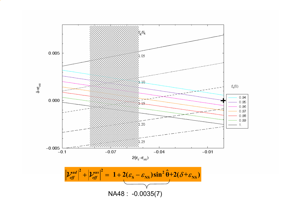

$$
\left| \mathcal{V}_{\text{eff}}^{\text{ud}} \right|^2 + \left| \mathcal{V}_{\text{eff}}^{\text{us}} \right|^2 = 1 + 2(\varepsilon_{\text{S}} - \varepsilon_{\text{NS}}) \sin^2 \hat{\theta} + 2(\delta + \varepsilon_{\text{NS}})
$$
  
NA48 : -0.0035(7)

 $\delta + \epsilon$ <sub>NS</sub>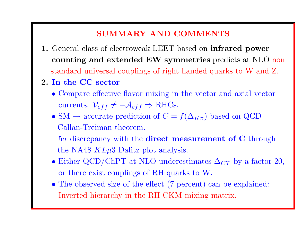### SUMMARY AND COMMENTS

- 1. General class of electroweak LEET based on infrared power counting and extended EW symmetries predicts at NLO non standard universal couplings of right handed quarks to W and Z.
- 2. In the CC sector
	- Compare effective flavor mixing in the vector and axial vector currents.  $V_{eff} \neq -A_{eff} \Rightarrow \text{RHCs}.$
	- SM  $\rightarrow$  accurate prediction of  $C = f(\Delta_{K_{\pi}})$  based on QCD Callan-Treiman theorem.

 $5\sigma$  discrepancy with the **direct measurement of C** through the NA48  $KL\mu3$  Dalitz plot analysis.

- Either QCD/ChPT at NLO underestimates  $\Delta_{CT}$  by a factor 20, or there exist couplings of RH quarks to W.
- The observed size of the effect (7 percent) can be explained: Inverted hierarchy in the RH CKM mixing matrix.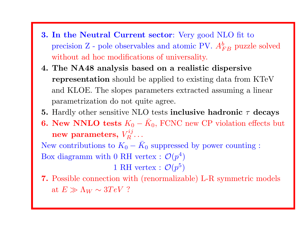- 3. In the Neutral Current sector: Very good NLO fit to precision  $Z$  - pole observables and atomic PV.  $A_{FB}^b$  puzzle solved without ad hoc modifications of universality.
- 4. The NA48 analysis based on <sup>a</sup> realistic dispersive representation should be applied to existing data from KTeV and KLOE. The slopes parameters extracted assuming <sup>a</sup> linear parametrization do not quite agree.
- 5. Hardly other sensitive NLO tests inclusive hadronic  $\tau$  decays
- 6. New NNLO tests  $K_0-\bar K$ <sup>0</sup>, FCNC new CP violation effects but new parameters,  $V_B^{ij}$ ...

New contributions to  $K_0 - K_0$ <sup>0</sup> suppressed by power counting : Box diagramm with 0 RH vertex :  $\mathcal{O}(p^4)$ 

1 RH vertex :  $\mathcal{O}(p^5)$ 

7. Possible connection with (renormalizable) L-R symmetric models at  $E \gg \Lambda_W \sim 3 TeV$  ?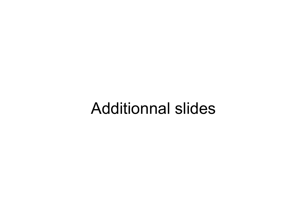# Additionnal slides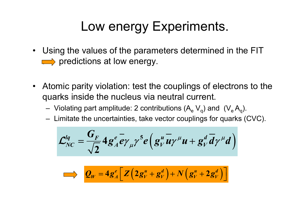# Low energy Experiments.

- Using the values of the parameters determined in the FIT  $\implies$  predictions at low energy.
- • Atomic parity violation: test the couplings of electrons to the quarks inside the nucleus via neutral current.
	- – $-$  Violating part amplitude: 2 contributions (A $_{\rm e}$  V $_{\rm q}$ ) and  $\,( {\rm V}_{\rm e} \, {\rm A}_{\rm q}).$
	- – $-$  Limitate the uncertainties, take vector couplings for quarks (CVC).

$$
\mathcal{L}_{NC}^{lq} = \frac{G_F}{\sqrt{2}} 4 g_A^e \overline{e} \gamma_\mu \gamma^5 e \left( g_\nu^u \overline{u} \gamma^\mu u + g_\nu^d \overline{d} \gamma^\mu d \right)
$$

$$
\sum_{W} = 4g_A^e \left[ Z \left( 2g_V^u + g_V^d \right) + N \left( g_V^u + 2g_V^d \right) \right]
$$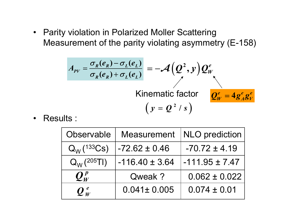• Parity violation in Polarized Moller Scattering Measurement of the parity violating asymmetry (E-158)

$$
A_{PV} = \frac{\sigma_R(e_R) - \sigma_L(e_L)}{\sigma_R(e_R) + \sigma_L(e_L)} = -\mathcal{A}\left(Q^2, y\right) Q_W^e
$$
  
Kinematic factor  $Q_W^e = 4g_A^e g_V^e$   

$$
\left(y = Q^2 / s\right)
$$

•Results :

| Observable      | <b>Measurement</b> | <b>NLO</b> prediction |
|-----------------|--------------------|-----------------------|
| $Q_W$ (133Cs)   | $-72.62 \pm 0.46$  | $-70.72 \pm 4.19$     |
| $Q_{W}$ (205TI) | $-116.40 \pm 3.64$ | $-111.95 \pm 7.47$    |
| $Q^p_{W}$       | Qweak ?            | $0.062 \pm 0.022$     |
| $Q_W^e$         | $0.041 \pm 0.005$  | $0.074 \pm 0.01$      |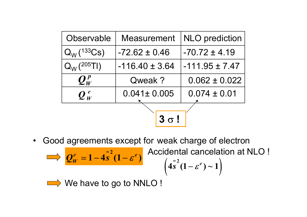| Observable             | <b>Measurement</b> | <b>NLO</b> prediction |  |  |
|------------------------|--------------------|-----------------------|--|--|
| $Q_W$ (133Cs)          | $-72.62 \pm 0.46$  | $-70.72 \pm 4.19$     |  |  |
| $Q_W$ (205TI)          | $-116.40 \pm 3.64$ | $-111.95 \pm 7.47$    |  |  |
| $\mathbf{Q}^{\,p}_{W}$ | Qweak ?            | $0.062 \pm 0.022$     |  |  |
| $Q_W^e$                | $0.041 \pm 0.005$  | $0.074 \pm 0.01$      |  |  |
|                        |                    |                       |  |  |
| $3 \sigma!$            |                    |                       |  |  |

•Good agreements except for weak charge of electron

$$
\mathcal{Q}_W^e = 1 - 4s^2(1-\varepsilon^e)
$$

Accidental cancellation at NLO

\n
$$
\left(4\tilde{s}^{2}(1-\varepsilon^{e})\sim1\right)
$$

We have to go to NNLO !